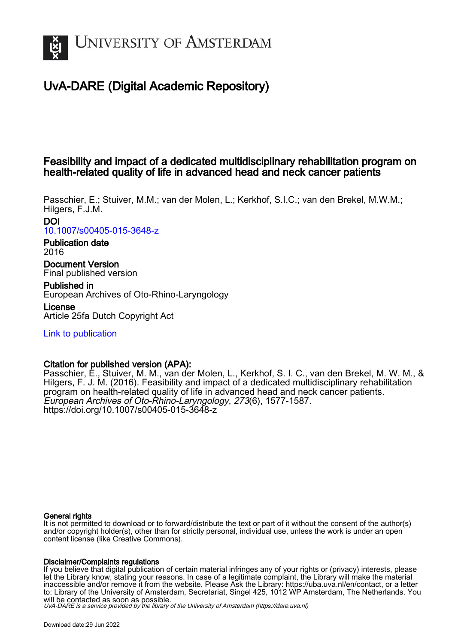

# UvA-DARE (Digital Academic Repository)

# Feasibility and impact of a dedicated multidisciplinary rehabilitation program on health-related quality of life in advanced head and neck cancer patients

Passchier, E.; Stuiver, M.M.; van der Molen, L.; Kerkhof, S.I.C.; van den Brekel, M.W.M.; Hilgers, F.J.M. DOI

[10.1007/s00405-015-3648-z](https://doi.org/10.1007/s00405-015-3648-z)

# Publication date 2016

Document Version Final published version

Published in European Archives of Oto-Rhino-Laryngology

License Article 25fa Dutch Copyright Act

[Link to publication](https://dare.uva.nl/personal/pure/en/publications/feasibility-and-impact-of-a-dedicated-multidisciplinary-rehabilitation-program-on-healthrelated-quality-of-life-in-advanced-head-and-neck-cancer-patients(d2dda237-f747-43f1-afc0-91de5425dfb6).html)

# Citation for published version (APA):

Passchier, E., Stuiver, M. M., van der Molen, L., Kerkhof, S. I. C., van den Brekel, M. W. M., & Hilgers, F. J. M. (2016). Feasibility and impact of a dedicated multidisciplinary rehabilitation program on health-related quality of life in advanced head and neck cancer patients. European Archives of Oto-Rhino-Laryngology, 273(6), 1577-1587. <https://doi.org/10.1007/s00405-015-3648-z>

# General rights

It is not permitted to download or to forward/distribute the text or part of it without the consent of the author(s) and/or copyright holder(s), other than for strictly personal, individual use, unless the work is under an open content license (like Creative Commons).

## Disclaimer/Complaints regulations

If you believe that digital publication of certain material infringes any of your rights or (privacy) interests, please let the Library know, stating your reasons. In case of a legitimate complaint, the Library will make the material inaccessible and/or remove it from the website. Please Ask the Library: https://uba.uva.nl/en/contact, or a letter to: Library of the University of Amsterdam, Secretariat, Singel 425, 1012 WP Amsterdam, The Netherlands. You will be contacted as soon as possible.

UvA-DARE is a service provided by the library of the University of Amsterdam (http*s*://dare.uva.nl)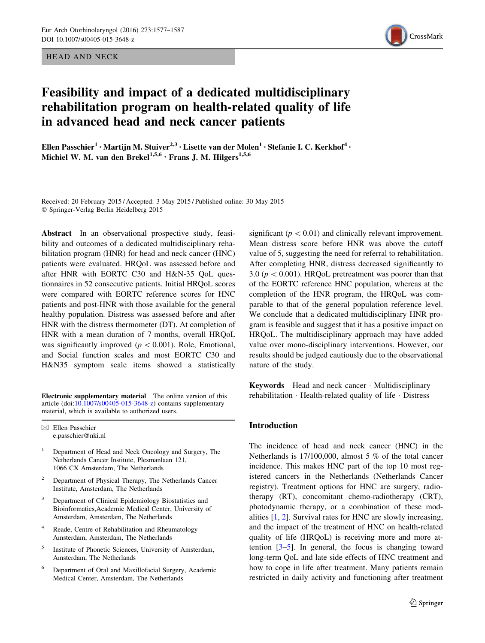HEAD AND NECK



# Feasibility and impact of a dedicated multidisciplinary rehabilitation program on health-related quality of life in advanced head and neck cancer patients

Ellen Passchier<sup>1</sup> • Martijn M. Stuiver<sup>2,3</sup> • Lisette van der Molen<sup>1</sup> • Stefanie I. C. Kerkhof<sup>4</sup> • Michiel W. M. van den Brekel<sup>1,5,6</sup> · Frans J. M. Hilgers<sup>1,5,6</sup>

Received: 20 February 2015 / Accepted: 3 May 2015 / Published online: 30 May 2015 - Springer-Verlag Berlin Heidelberg 2015

Abstract In an observational prospective study, feasibility and outcomes of a dedicated multidisciplinary rehabilitation program (HNR) for head and neck cancer (HNC) patients were evaluated. HRQoL was assessed before and after HNR with EORTC C30 and H&N-35 QoL questionnaires in 52 consecutive patients. Initial HRQoL scores were compared with EORTC reference scores for HNC patients and post-HNR with those available for the general healthy population. Distress was assessed before and after HNR with the distress thermometer (DT). At completion of HNR with a mean duration of 7 months, overall HRQoL was significantly improved ( $p < 0.001$ ). Role, Emotional, and Social function scales and most EORTC C30 and H&N35 symptom scale items showed a statistically

Electronic supplementary material The online version of this article (doi:[10.1007/s00405-015-3648-z](http://dx.doi.org/10.1007/s00405-015-3648-z)) contains supplementary material, which is available to authorized users.

 $\boxtimes$  Ellen Passchier e.passchier@nki.nl

- <sup>1</sup> Department of Head and Neck Oncology and Surgery, The Netherlands Cancer Institute, Plesmanlaan 121, 1066 CX Amsterdam, The Netherlands
- <sup>2</sup> Department of Physical Therapy, The Netherlands Cancer Institute, Amsterdam, The Netherlands
- Department of Clinical Epidemiology Biostatistics and Bioinformatics,Academic Medical Center, University of Amsterdam, Amsterdam, The Netherlands
- Reade, Centre of Rehabilitation and Rheumatology Amsterdam, Amsterdam, The Netherlands
- Institute of Phonetic Sciences, University of Amsterdam, Amsterdam, The Netherlands
- <sup>6</sup> Department of Oral and Maxillofacial Surgery, Academic Medical Center, Amsterdam, The Netherlands

significant ( $p<0.01$ ) and clinically relevant improvement. Mean distress score before HNR was above the cutoff value of 5, suggesting the need for referral to rehabilitation. After completing HNR, distress decreased significantly to 3.0 ( $p < 0.001$ ). HRQoL pretreatment was poorer than that of the EORTC reference HNC population, whereas at the completion of the HNR program, the HRQoL was comparable to that of the general population reference level. We conclude that a dedicated multidisciplinary HNR program is feasible and suggest that it has a positive impact on HRQoL. The multidisciplinary approach may have added value over mono-disciplinary interventions. However, our results should be judged cautiously due to the observational nature of the study.

Keywords Head and neck cancer - Multidisciplinary rehabilitation - Health-related quality of life - Distress

## Introduction

The incidence of head and neck cancer (HNC) in the Netherlands is 17/100,000, almost 5 % of the total cancer incidence. This makes HNC part of the top 10 most registered cancers in the Netherlands (Netherlands Cancer registry). Treatment options for HNC are surgery, radiotherapy (RT), concomitant chemo-radiotherapy (CRT), photodynamic therapy, or a combination of these modalities [\[1](#page-9-0), [2](#page-9-0)]. Survival rates for HNC are slowly increasing, and the impact of the treatment of HNC on health-related quality of life (HRQoL) is receiving more and more attention  $[3-5]$  $[3-5]$ . In general, the focus is changing toward long-term QoL and late side effects of HNC treatment and how to cope in life after treatment. Many patients remain restricted in daily activity and functioning after treatment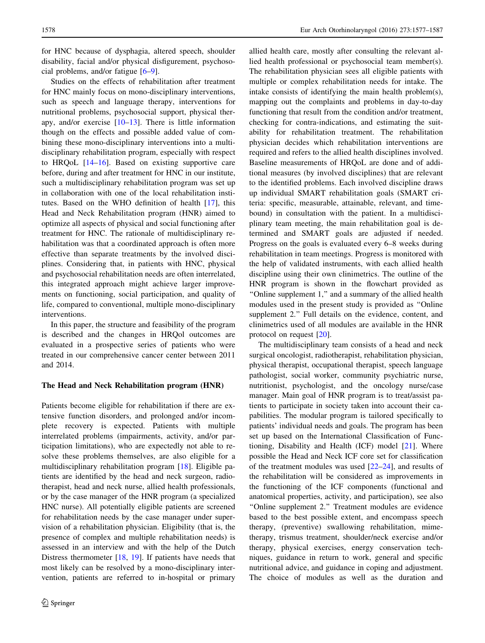for HNC because of dysphagia, altered speech, shoulder disability, facial and/or physical disfigurement, psychosocial problems, and/or fatigue [\[6–9](#page-10-0)].

Studies on the effects of rehabilitation after treatment for HNC mainly focus on mono-disciplinary interventions, such as speech and language therapy, interventions for nutritional problems, psychosocial support, physical therapy, and/or exercise [[10–13\]](#page-10-0). There is little information though on the effects and possible added value of combining these mono-disciplinary interventions into a multidisciplinary rehabilitation program, especially with respect to HRQoL [\[14–16](#page-10-0)]. Based on existing supportive care before, during and after treatment for HNC in our institute, such a multidisciplinary rehabilitation program was set up in collaboration with one of the local rehabilitation institutes. Based on the WHO definition of health [\[17](#page-10-0)], this Head and Neck Rehabilitation program (HNR) aimed to optimize all aspects of physical and social functioning after treatment for HNC. The rationale of multidisciplinary rehabilitation was that a coordinated approach is often more effective than separate treatments by the involved disciplines. Considering that, in patients with HNC, physical and psychosocial rehabilitation needs are often interrelated, this integrated approach might achieve larger improvements on functioning, social participation, and quality of life, compared to conventional, multiple mono-disciplinary interventions.

In this paper, the structure and feasibility of the program is described and the changes in HRQol outcomes are evaluated in a prospective series of patients who were treated in our comprehensive cancer center between 2011 and 2014.

#### The Head and Neck Rehabilitation program (HNR)

Patients become eligible for rehabilitation if there are extensive function disorders, and prolonged and/or incomplete recovery is expected. Patients with multiple interrelated problems (impairments, activity, and/or participation limitations), who are expectedly not able to resolve these problems themselves, are also eligible for a multidisciplinary rehabilitation program [\[18](#page-10-0)]. Eligible patients are identified by the head and neck surgeon, radiotherapist, head and neck nurse, allied health professionals, or by the case manager of the HNR program (a specialized HNC nurse). All potentially eligible patients are screened for rehabilitation needs by the case manager under supervision of a rehabilitation physician. Eligibility (that is, the presence of complex and multiple rehabilitation needs) is assessed in an interview and with the help of the Dutch Distress thermometer [[18,](#page-10-0) [19\]](#page-10-0). If patients have needs that most likely can be resolved by a mono-disciplinary intervention, patients are referred to in-hospital or primary allied health care, mostly after consulting the relevant allied health professional or psychosocial team member(s). The rehabilitation physician sees all eligible patients with multiple or complex rehabilitation needs for intake. The intake consists of identifying the main health problem(s), mapping out the complaints and problems in day-to-day functioning that result from the condition and/or treatment, checking for contra-indications, and estimating the suitability for rehabilitation treatment. The rehabilitation physician decides which rehabilitation interventions are required and refers to the allied health disciplines involved. Baseline measurements of HRQoL are done and of additional measures (by involved disciplines) that are relevant to the identified problems. Each involved discipline draws up individual SMART rehabilitation goals (SMART criteria: specific, measurable, attainable, relevant, and timebound) in consultation with the patient. In a multidisciplinary team meeting, the main rehabilitation goal is determined and SMART goals are adjusted if needed. Progress on the goals is evaluated every 6–8 weeks during rehabilitation in team meetings. Progress is monitored with the help of validated instruments, with each allied health discipline using their own clinimetrics. The outline of the HNR program is shown in the flowchart provided as ''Online supplement 1,'' and a summary of the allied health modules used in the present study is provided as ''Online supplement 2.'' Full details on the evidence, content, and clinimetrics used of all modules are available in the HNR protocol on request [[20\]](#page-10-0).

The multidisciplinary team consists of a head and neck surgical oncologist, radiotherapist, rehabilitation physician, physical therapist, occupational therapist, speech language pathologist, social worker, community psychiatric nurse, nutritionist, psychologist, and the oncology nurse/case manager. Main goal of HNR program is to treat/assist patients to participate in society taken into account their capabilities. The modular program is tailored specifically to patients' individual needs and goals. The program has been set up based on the International Classification of Functioning, Disability and Health (ICF) model [[21\]](#page-10-0). Where possible the Head and Neck ICF core set for classification of the treatment modules was used  $[22-24]$ , and results of the rehabilitation will be considered as improvements in the functioning of the ICF components (functional and anatomical properties, activity, and participation), see also ''Online supplement 2.'' Treatment modules are evidence based to the best possible extent, and encompass speech therapy, (preventive) swallowing rehabilitation, mimetherapy, trismus treatment, shoulder/neck exercise and/or therapy, physical exercises, energy conservation techniques, guidance in return to work, general and specific nutritional advice, and guidance in coping and adjustment. The choice of modules as well as the duration and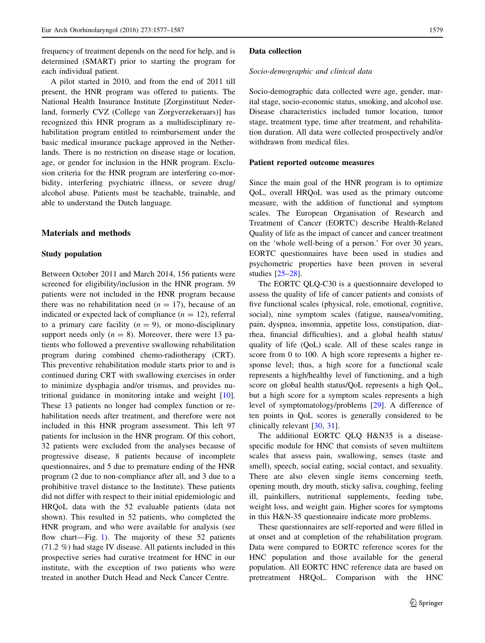frequency of treatment depends on the need for help, and is determined (SMART) prior to starting the program for each individual patient.

A pilot started in 2010, and from the end of 2011 till present, the HNR program was offered to patients. The National Health Insurance Institute [Zorginstituut Nederland, formerly CVZ (College van Zorgverzekeraars)] has recognized this HNR program as a multidisciplinary rehabilitation program entitled to reimbursement under the basic medical insurance package approved in the Netherlands. There is no restriction on disease stage or location, age, or gender for inclusion in the HNR program. Exclusion criteria for the HNR program are interfering co-morbidity, interfering psychiatric illness, or severe drug/ alcohol abuse. Patients must be teachable, trainable, and able to understand the Dutch language.

#### Materials and methods

### Study population

Between October 2011 and March 2014, 156 patients were screened for eligibility/inclusion in the HNR program. 59 patients were not included in the HNR program because there was no rehabilitation need  $(n = 17)$ , because of an indicated or expected lack of compliance  $(n = 12)$ , referral to a primary care facility  $(n = 9)$ , or mono-disciplinary support needs only  $(n = 8)$ . Moreover, there were 13 patients who followed a preventive swallowing rehabilitation program during combined chemo-radiotherapy (CRT). This preventive rehabilitation module starts prior to and is continued during CRT with swallowing exercises in order to minimize dysphagia and/or trismus, and provides nutritional guidance in monitoring intake and weight [\[10](#page-10-0)]. These 13 patients no longer had complex function or rehabilitation needs after treatment, and therefore were not included in this HNR program assessment. This left 97 patients for inclusion in the HNR program. Of this cohort, 32 patients were excluded from the analyses because of progressive disease, 8 patients because of incomplete questionnaires, and 5 due to premature ending of the HNR program (2 due to non-compliance after all, and 3 due to a prohibitive travel distance to the Institute). These patients did not differ with respect to their initial epidemiologic and HRQoL data with the 52 evaluable patients (data not shown). This resulted in 52 patients, who completed the HNR program, and who were available for analysis (see flow chart—Fig. [1\)](#page-4-0). The majority of these 52 patients (71.2 %) had stage IV disease. All patients included in this prospective series had curative treatment for HNC in our institute, with the exception of two patients who were treated in another Dutch Head and Neck Cancer Centre.

#### Data collection

#### Socio-demographic and clinical data

Socio-demographic data collected were age, gender, marital stage, socio-economic status, smoking, and alcohol use. Disease characteristics included tumor location, tumor stage, treatment type, time after treatment, and rehabilitation duration. All data were collected prospectively and/or withdrawn from medical files.

#### Patient reported outcome measures

Since the main goal of the HNR program is to optimize QoL, overall HRQoL was used as the primary outcome measure, with the addition of functional and symptom scales. The European Organisation of Research and Treatment of Cancer (EORTC) describe Health-Related Quality of life as the impact of cancer and cancer treatment on the 'whole well-being of a person.' For over 30 years, EORTC questionnaires have been used in studies and psychometric properties have been proven in several studies [[25–28](#page-10-0)].

The EORTC QLQ-C30 is a questionnaire developed to assess the quality of life of cancer patients and consists of five functional scales (physical, role, emotional, cognitive, social), nine symptom scales (fatigue, nausea/vomiting, pain, dyspnea, insomnia, appetite loss, constipation, diarrhea, financial difficulties), and a global health status/ quality of life (QoL) scale. All of these scales range in score from 0 to 100. A high score represents a higher response level; thus, a high score for a functional scale represents a high/healthy level of functioning, and a high score on global health status/QoL represents a high QoL, but a high score for a symptom scales represents a high level of symptomatology/problems [\[29](#page-10-0)]. A difference of ten points in QoL scores is generally considered to be clinically relevant [[30,](#page-10-0) [31\]](#page-10-0).

The additional EORTC QLQ H&N35 is a diseasespecific module for HNC that consists of seven multiitem scales that assess pain, swallowing, senses (taste and smell), speech, social eating, social contact, and sexuality. There are also eleven single items concerning teeth, opening mouth, dry mouth, sticky saliva, coughing, feeling ill, painkillers, nutritional supplements, feeding tube, weight loss, and weight gain. Higher scores for symptoms in this H&N-35 questionnaire indicate more problems.

These questionnaires are self-reported and were filled in at onset and at completion of the rehabilitation program. Data were compared to EORTC reference scores for the HNC population and those available for the general population. All EORTC HNC reference data are based on pretreatment HRQoL. Comparison with the HNC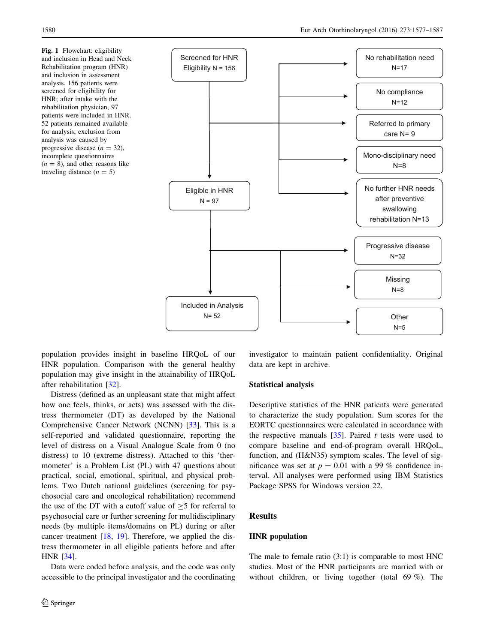<span id="page-4-0"></span>Fig. 1 Flowchart: eligibility and inclusion in Head and Neck Rehabilitation program (HNR) and inclusion in assessment analysis. 156 patients were screened for eligibility for HNR; after intake with the rehabilitation physician, 97 patients were included in HNR. 52 patients remained available for analysis, exclusion from analysis was caused by progressive disease  $(n = 32)$ , incomplete questionnaires  $(n = 8)$ , and other reasons like traveling distance  $(n = 5)$ 



population provides insight in baseline HRQoL of our HNR population. Comparison with the general healthy population may give insight in the attainability of HRQoL after rehabilitation [[32\]](#page-10-0).

Distress (defined as an unpleasant state that might affect how one feels, thinks, or acts) was assessed with the distress thermometer (DT) as developed by the National Comprehensive Cancer Network (NCNN) [[33\]](#page-10-0). This is a self-reported and validated questionnaire, reporting the level of distress on a Visual Analogue Scale from 0 (no distress) to 10 (extreme distress). Attached to this 'thermometer' is a Problem List (PL) with 47 questions about practical, social, emotional, spiritual, and physical problems. Two Dutch national guidelines (screening for psychosocial care and oncological rehabilitation) recommend the use of the DT with a cutoff value of  $>5$  for referral to psychosocial care or further screening for multidisciplinary needs (by multiple items/domains on PL) during or after cancer treatment [\[18](#page-10-0), [19\]](#page-10-0). Therefore, we applied the distress thermometer in all eligible patients before and after HNR [[34\]](#page-10-0).

Data were coded before analysis, and the code was only accessible to the principal investigator and the coordinating investigator to maintain patient confidentiality. Original data are kept in archive.

#### Statistical analysis

Descriptive statistics of the HNR patients were generated to characterize the study population. Sum scores for the EORTC questionnaires were calculated in accordance with the respective manuals  $[35]$  $[35]$ . Paired t tests were used to compare baseline and end-of-program overall HRQoL, function, and (H&N35) symptom scales. The level of significance was set at  $p = 0.01$  with a 99 % confidence interval. All analyses were performed using IBM Statistics Package SPSS for Windows version 22.

### **Results**

#### HNR population

The male to female ratio (3:1) is comparable to most HNC studies. Most of the HNR participants are married with or without children, or living together (total 69 %). The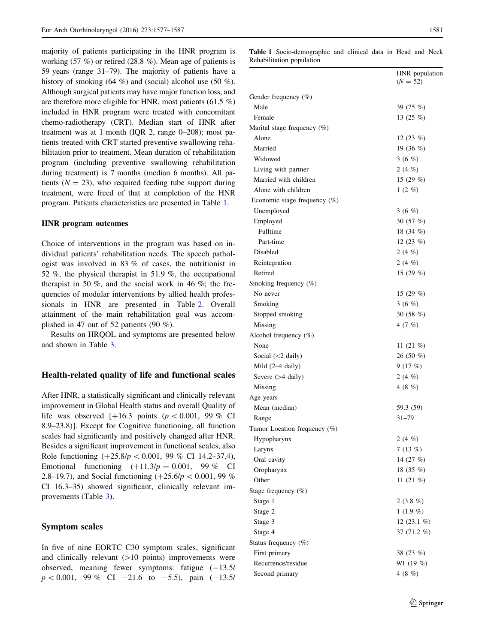majority of patients participating in the HNR program is working (57 %) or retired (28.8 %). Mean age of patients is 59 years (range 31–79). The majority of patients have a history of smoking (64 %) and (social) alcohol use (50 %). Although surgical patients may have major function loss, and are therefore more eligible for HNR, most patients (61.5 %) included in HNR program were treated with concomitant chemo-radiotherapy (CRT). Median start of HNR after treatment was at 1 month (IQR 2, range 0–208); most patients treated with CRT started preventive swallowing rehabilitation prior to treatment. Mean duration of rehabilitation program (including preventive swallowing rehabilitation during treatment) is 7 months (median 6 months). All patients ( $N = 23$ ), who required feeding tube support during treatment, were freed of that at completion of the HNR program. Patients characteristics are presented in Table 1.

#### HNR program outcomes

Choice of interventions in the program was based on individual patients' rehabilitation needs. The speech pathologist was involved in 83 % of cases, the nutritionist in 52 %, the physical therapist in 51.9 %, the occupational therapist in 50  $\%$ , and the social work in 46  $\%$ ; the frequencies of modular interventions by allied health professionals in HNR are presented in Table [2](#page-6-0). Overall attainment of the main rehabilitation goal was accomplished in 47 out of 52 patients (90 %).

Results on HRQOL and symptoms are presented below and shown in Table [3](#page-7-0).

#### Health-related quality of life and functional scales

After HNR, a statistically significant and clinically relevant improvement in Global Health status and overall Quality of life was observed  $[+16.3 \text{ points } (p \lt 0.001, 99 \% \text{ CI}$ 8.9–23.8)]. Except for Cognitive functioning, all function scales had significantly and positively changed after HNR. Besides a significant improvement in functional scales, also Role functioning  $(+25.8/p < 0.001, 99 \%$  CI 14.2–37.4), Emotional functioning  $(+11.3/p = 0.001, 99\%$  CI 2.8–19.7), and Social functioning  $(+25.6/p < 0.001, 99 \%$ CI 16.3–35) showed significant, clinically relevant improvements (Table [3\)](#page-7-0).

#### Symptom scales

In five of nine EORTC C30 symptom scales, significant and clinically relevant  $(>10$  points) improvements were observed, meaning fewer symptoms: fatigue  $(-13.5)$  $p < 0.001$ , 99 % CI -21.6 to -5.5), pain (-13.5/ Table 1 Socio-demographic and clinical data in Head and Neck Rehabilitation population

|                                 | HNR population<br>$(N = 52)$ |
|---------------------------------|------------------------------|
| Gender frequency $(\%)$         |                              |
| Male                            | 39 (75 %)                    |
| Female                          | 13 $(25 \%)$                 |
| Marital stage frequency $(\%)$  |                              |
| Alone                           | 12 $(23 \%)$                 |
| Married                         | 19 $(36\%)$                  |
| Widowed                         | 3 $(6 \%)$                   |
| Living with partner             | 2 $(4 \%)$                   |
| Married with children           | 15 $(29%)$                   |
| Alone with children             | 1(2%)                        |
| Economic stage frequency $(\%)$ |                              |
| Unemployed                      | 3 $(6 \%)$                   |
| Employed                        | 30 $(57 \%)$                 |
| Fulltime                        | 18 $(34\%)$                  |
| Part-time                       | 12 $(23 \%)$                 |
| Disabled                        | 2 (4 $%$ )                   |
| Reintegration                   | 2 $(4 \%)$                   |
| Retired                         | 15 $(29%)$                   |
| Smoking frequency $(\%)$        |                              |
| No never                        | 15 $(29%)$                   |
| Smoking                         | 3 $(6 \%)$                   |
| Stopped smoking                 | 30 $(58\%)$                  |
| Missing                         | 4 $(7 \%)$                   |
| Alcohol frequency $(\%)$        |                              |
| None                            | 11 $(21\%$                   |
| Social $(<2$ daily)             | 26 (50 $%$ )                 |
| Mild (2-4 daily)                | 9(17%)                       |
| Severe $(>4$ daily)             | 2 $(4 \%)$                   |
| Missing                         | 4 (8 $%$ )                   |
| Age years                       |                              |
| Mean (median)                   | 59.3 (59)                    |
| Range                           | $31 - 79$                    |
| Tumor Location frequency $(\%)$ |                              |
| Hypopharynx                     | 2 $(4 \%)$                   |
| Larynx                          | 7(13%)                       |
|                                 | 14 (27 %)                    |
| Oral cavity                     |                              |
| Oropharynx                      | 18 (35 %)                    |
| Other                           | 11 $(21\%)$                  |
| Stage frequency (%)             |                              |
| Stage 1                         | 2 $(3.8\%)$                  |
| Stage 2                         | $1(1.9\%)$                   |
| Stage 3                         | 12 $(23.1\%)$                |
| Stage 4                         | 37 (71.2 %)                  |
| Status frequency (%)            |                              |
| First primary                   | 38 (73 %)                    |
| Recurrence/residue              | 9/1(19%)                     |
| Second primary                  | 4(8%)                        |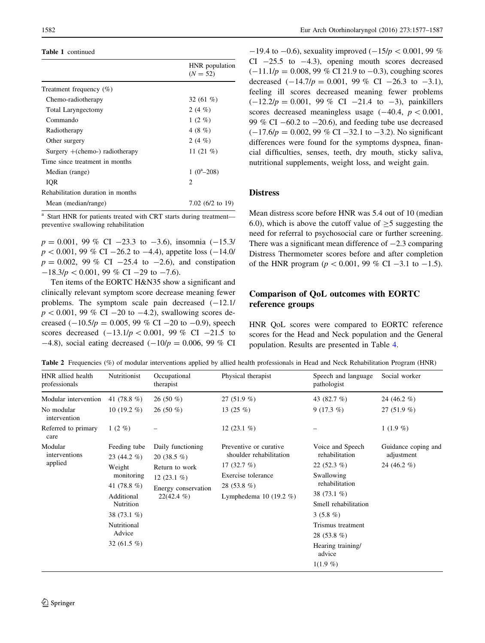#### <span id="page-6-0"></span>Table 1 continued

|                                   | HNR population<br>$(N = 52)$ |
|-----------------------------------|------------------------------|
| Treatment frequency $(\%)$        |                              |
| Chemo-radiotherapy                | 32 $(61\%$                   |
| <b>Total Laryngectomy</b>         | 2 (4 $%$ )                   |
| Commando                          | $1(2\%)$                     |
| Radiotherapy                      | 4 (8 $%$ )                   |
| Other surgery                     | 2 (4 $%$ )                   |
| Surgery $+(chemo-)$ radiotherapy  | 11 $(21\%$                   |
| Time since treatment in months    |                              |
| Median (range)                    | $1(0^a - 208)$               |
| IOR                               | 2                            |
| Rehabilitation duration in months |                              |
| Mean (median/range)               | 7.02 $(6/2 \text{ to } 19)$  |
|                                   |                              |

<sup>a</sup> Start HNR for patients treated with CRT starts during treatment preventive swallowing rehabilitation

 $p = 0.001$ , 99 % CI -23.3 to -3.6), insomnia (-15.3/  $p < 0.001$ , 99 % CI -26.2 to -4.4), appetite loss (-14.0/  $p = 0.002, 99\% \text{ CI } -25.4 \text{ to } -2.6$ , and constipation  $-18.3/p < 0.001$ , 99 % CI -29 to -7.6).

Ten items of the EORTC H&N35 show a significant and clinically relevant symptom score decrease meaning fewer problems. The symptom scale pain decreased  $(-12.1)$  $p < 0.001$ , 99 % CI -20 to -4.2), swallowing scores decreased  $(-10.5/p = 0.005, 99\% \text{ CI} - 20 \text{ to } -0.9)$ , speech scores decreased  $(-13.1/p < 0.001, 99 \%$  CI -21.5 to  $-4.8$ ), social eating decreased  $(-10/p = 0.006, 99\%$  CI

 $-19.4$  to  $-0.6$ ), sexuality improved  $(-15/p < 0.001, 99\%$ CI  $-25.5$  to  $-4.3$ ), opening mouth scores decreased  $(-11.1/p = 0.008, 99\% \text{ CI } 21.9 \text{ to } -0.3)$ , coughing scores decreased  $(-14.7/p = 0.001, 99\% \text{ CI } -26.3 \text{ to } -3.1),$ feeling ill scores decreased meaning fewer problems  $(-12.2/p = 0.001, 99\% \text{ CI } -21.4 \text{ to } -3)$ , painkillers scores decreased meaningless usage  $(-40.4, p < 0.001,$ 99 % CI  $-60.2$  to  $-20.6$ ), and feeding tube use decreased  $(-17.6/p = 0.002, 99\% \text{ CI} -32.1 \text{ to } -3.2)$ . No significant differences were found for the symptoms dyspnea, financial difficulties, senses, teeth, dry mouth, sticky saliva, nutritional supplements, weight loss, and weight gain.

## **Distress**

Mean distress score before HNR was 5.4 out of 10 (median 6.0), which is above the cutoff value of  $>$  5 suggesting the need for referral to psychosocial care or further screening. There was a significant mean difference of  $-2.3$  comparing Distress Thermometer scores before and after completion of the HNR program ( $p < 0.001$ , 99 % CI -3.1 to -1.5).

## Comparison of QoL outcomes with EORTC reference groups

HNR QoL scores were compared to EORTC reference scores for the Head and Neck population and the General population. Results are presented in Table [4](#page-8-0).

|  |  |  |  |  | <b>Table 2</b> Frequencies (%) of modular interventions applied by allied health professionals in Head and Neck Rehabilitation Program (HNR) |
|--|--|--|--|--|----------------------------------------------------------------------------------------------------------------------------------------------|
|--|--|--|--|--|----------------------------------------------------------------------------------------------------------------------------------------------|

| HNR allied health<br>professionals                                        | Nutritionist                                                                                                                                                | Occupational<br>therapist                                                                                     | Physical therapist                                                                                                                      | Speech and language<br>pathologist                                                                                                                                                                                           | Social worker                                       |
|---------------------------------------------------------------------------|-------------------------------------------------------------------------------------------------------------------------------------------------------------|---------------------------------------------------------------------------------------------------------------|-----------------------------------------------------------------------------------------------------------------------------------------|------------------------------------------------------------------------------------------------------------------------------------------------------------------------------------------------------------------------------|-----------------------------------------------------|
| Modular intervention<br>No modular<br>intervention<br>Referred to primary | 41 $(78.8\%)$<br>10 $(19.2\%$<br>1 $(2 \%)$                                                                                                                 | 26 (50 $%$ )<br>$26(50\%)$                                                                                    | 27 (51.9 $%$ )<br>13 $(25 \%)$<br>12 $(23.1\%)$                                                                                         | 43 (82.7 %)<br>$9(17.3\%)$                                                                                                                                                                                                   | 24 (46.2 $%$ )<br>27 $(51.9\%)$<br>$1(1.9\%)$       |
| care<br>Modular<br>interventions<br>applied                               | Feeding tube<br>23 (44.2 $%$ )<br>Weight<br>monitoring<br>41 $(78.8\%)$<br>Additional<br>Nutrition<br>38 (73.1 %)<br>Nutritional<br>Advice<br>32 $(61.5\%)$ | Daily functioning<br>20 $(38.5\%)$<br>Return to work<br>12 $(23.1\%)$<br>Energy conservation<br>$22(42.4\% )$ | Preventive or curative<br>shoulder rehabilitation<br>17 $(32.7 \%)$<br>Exercise tolerance<br>28 (53.8 $%$ )<br>Lymphedema 10 $(19.2\%)$ | Voice and Speech<br>rehabilitation<br>22 $(52.3\%)$<br>Swallowing<br>rehabilitation<br>38 (73.1 %)<br>Smell rehabilitation<br>$3(5.8\%)$<br>Trismus treatment<br>28 (53.8 $%$ )<br>Hearing training/<br>advice<br>$1(1.9\%)$ | Guidance coping and<br>adjustment<br>24 (46.2 $%$ ) |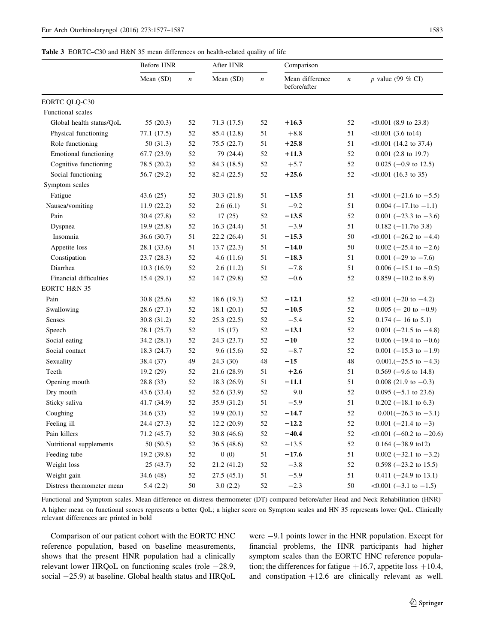<span id="page-7-0"></span>Table 3 EORTC-C30 and H&N 35 mean differences on health-related quality of life

|                           | Before HNR  |                  | After HNR   |                  | Comparison                      |                  |                                  |
|---------------------------|-------------|------------------|-------------|------------------|---------------------------------|------------------|----------------------------------|
|                           | Mean (SD)   | $\boldsymbol{n}$ | Mean (SD)   | $\boldsymbol{n}$ | Mean difference<br>before/after | $\boldsymbol{n}$ | p value (99 % CI)                |
| EORTC QLQ-C30             |             |                  |             |                  |                                 |                  |                                  |
| Functional scales         |             |                  |             |                  |                                 |                  |                                  |
| Global health status/QoL  | 55(20.3)    | 52               | 71.3 (17.5) | 52               | $+16.3$                         | 52               | $< 0.001$ (8.9 to 23.8)          |
| Physical functioning      | 77.1 (17.5) | 52               | 85.4 (12.8) | 51               | $+8.8$                          | 51               | $<0.001$ (3.6 to14)              |
| Role functioning          | 50(31.3)    | 52               | 75.5 (22.7) | 51               | $+25.8$                         | 51               | $< 0.001$ (14.2 to 37.4)         |
| Emotional functioning     | 67.7(23.9)  | 52               | 79 (24.4)   | 52               | $+11.3$                         | 52               | $0.001$ (2.8 to 19.7)            |
| Cognitive functioning     | 78.5 (20.2) | 52               | 84.3 (18.5) | 52               | $+5.7$                          | 52               | $0.025$ (-0.9 to 12.5)           |
| Social functioning        | 56.7 (29.2) | 52               | 82.4 (22.5) | 52               | $+25.6$                         | 52               | $<0.001$ (16.3 to 35)            |
| Symptom scales            |             |                  |             |                  |                                 |                  |                                  |
| Fatigue                   | 43.6 $(25)$ | 52               | 30.3(21.8)  | 51               | $-13.5$                         | 51               | $\leq 0.001$ (-21.6 to -5.5)     |
| Nausea/vomiting           | 11.9(22.2)  | 52               | 2.6(6.1)    | 51               | $-9.2$                          | 51               | $0.004$ (-17.1to -1.1)           |
| Pain                      | 30.4 (27.8) | 52               | 17(25)      | 52               | $-13.5$                         | 52               | 0.001 $(-23.3 \text{ to } -3.6)$ |
| Dyspnea                   | 19.9 (25.8) | 52               | 16.3(24.4)  | 51               | $-3.9$                          | 51               | $0.182$ (-11.7to 3.8)            |
| Insomnia                  | 36.6(30.7)  | 51               | 22.2 (26.4) | 51               | $-15.3$                         | 50               | $< 0.001$ (-26.2 to -4.4)        |
| Appetite loss             | 28.1 (33.6) | 51               | 13.7(22.3)  | 51               | $-14.0$                         | 50               | $0.002$ (-25.4 to -2.6)          |
| Constipation              | 23.7 (28.3) | 52               | 4.6(11.6)   | 51               | $-18.3$                         | 51               | $0.001$ (-29 to -7.6)            |
| Diarrhea                  | 10.3(16.9)  | 52               | 2.6(11.2)   | 51               | $-7.8$                          | 51               | $0.006$ (-15.1 to -0.5)          |
| Financial difficulties    | 15.4(29.1)  | 52               | 14.7 (29.8) | 52               | $-0.6$                          | 52               | $0.859$ (-10.2 to 8.9)           |
| EORTC H&N 35              |             |                  |             |                  |                                 |                  |                                  |
| Pain                      | 30.8(25.6)  | 52               | 18.6(19.3)  | 52               | $-12.1$                         | 52               | $<0.001$ (-20 to -4.2)           |
| Swallowing                | 28.6 (27.1) | 52               | 18.1(20.1)  | 52               | $-10.5$                         | 52               | $0.005$ (- 20 to -0.9)           |
| Senses                    | 30.8 (31.2) | 52               | 25.3(22.5)  | 52               | $-5.4$                          | 52               | $0.174$ (-16 to 5.1)             |
| Speech                    | 28.1(25.7)  | 52               | 15(17)      | 52               | $-13.1$                         | 52               | $0.001$ (-21.5 to -4.8)          |
| Social eating             | 34.2(28.1)  | 52               | 24.3 (23.7) | 52               | $-10$                           | 52               | $0.006$ (-19.4 to -0.6)          |
| Social contact            | 18.3(24.7)  | 52               | 9.6(15.6)   | 52               | $-8.7$                          | 52               | $0.001$ (-15.3 to -1.9)          |
| Sexuality                 | 38.4 (37)   | 49               | 24.3(30)    | 48               | $-15$                           | 48               | $0.001$ .(-25.5 to -4.3)         |
| Teeth                     | 19.2 (29)   | 52               | 21.6 (28.9) | 51               | $+2.6$                          | 51               | $0.569$ (-9.6 to 14.8)           |
| Opening mouth             | 28.8 (33)   | 52               | 18.3 (26.9) | 51               | $-11.1$                         | 51               | $0.008$ (21.9 to $-0.3$ )        |
| Dry mouth                 | 43.6 (33.4) | 52               | 52.6 (33.9) | 52               | 9.0                             | 52               | $0.095$ (-5.1 to 23.6)           |
| Sticky saliva             | 41.7 (34.9) | 52               | 35.9 (31.2) | 51               | $-5.9$                          | 51               | $0.202$ (-18.1 to 6.3)           |
| Coughing                  | 34.6(33)    | 52               | 19.9(20.1)  | 52               | $-14.7$                         | 52               | $0.001(-26.3 \text{ to } -3.1)$  |
| Feeling ill               | 24.4 (27.3) | 52               | 12.2 (20.9) | $52\,$           | $-12.2$                         | 52               | $0.001$ (-21.4 to -3)            |
| Pain killers              | 71.2 (45.7) | 52               | 30.8(46.6)  | 52               | $-40.4$                         | 52               | $< 0.001$ (-60.2 to -20.6)       |
| Nutritional supplements   | 50(50.5)    | 52               | 36.5(48.6)  | 52               | $-13.5$                         | 52               | $0.164 (-38.9 \text{ to } 12)$   |
| Feeding tube              | 19.2 (39.8) | 52               | 0(0)        | 51               | $-17.6$                         | 51               | $0.002$ (-32.1 to -3.2)          |
| Weight loss               | 25(43.7)    | 52               | 21.2 (41.2) | 52               | $-3.8$                          | 52               | $0.598 (-23.2 \text{ to } 15.5)$ |
| Weight gain               | 34.6 (48)   | 52               | 27.5(45.1)  | 51               | $-5.9$                          | 51               | $0.411 (-24.9 \text{ to } 13.1)$ |
| Distress thermometer mean | 5.4(2.2)    | 50               | 3.0(2.2)    | 52               | $-2.3$                          | 50               | $<0.001$ (-3.1 to -1.5)          |

Functional and Symptom scales. Mean difference on distress thermometer (DT) compared before/after Head and Neck Rehabilitation (HNR) A higher mean on functional scores represents a better QoL; a higher score on Symptom scales and HN 35 represents lower QoL. Clinically relevant differences are printed in bold

Comparison of our patient cohort with the EORTC HNC reference population, based on baseline measurements, shows that the present HNR population had a clinically relevant lower HRQoL on functioning scales (role  $-28.9$ , social  $-25.9$ ) at baseline. Global health status and HRQoL were  $-9.1$  points lower in the HNR population. Except for financial problems, the HNR participants had higher symptom scales than the EORTC HNC reference population; the differences for fatigue  $+16.7$ , appetite loss  $+10.4$ , and constipation  $+12.6$  are clinically relevant as well.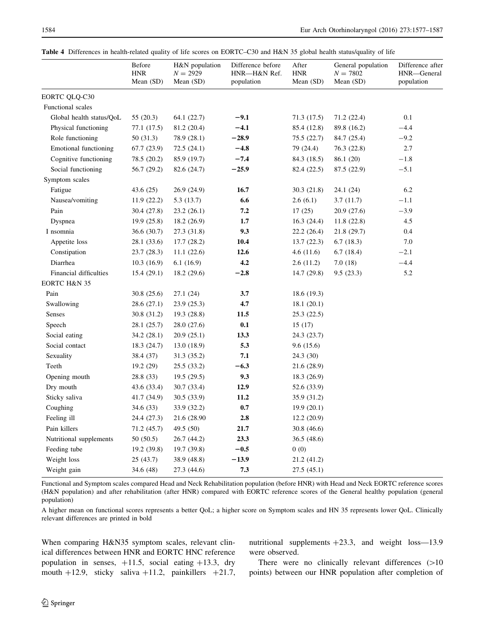<span id="page-8-0"></span>

|  |  |  |  |  |  | Table 4 Differences in health-related quality of life scores on EORTC–C30 and H&N 35 global health status/quality of life |  |
|--|--|--|--|--|--|---------------------------------------------------------------------------------------------------------------------------|--|
|--|--|--|--|--|--|---------------------------------------------------------------------------------------------------------------------------|--|

|                          | Before<br><b>HNR</b><br>Mean (SD) | H&N population<br>$N = 2929$<br>Mean (SD) | Difference before<br>HNR—H&N Ref.<br>population | After<br><b>HNR</b><br>Mean (SD) | General population<br>$N = 7802$<br>Mean (SD) | Difference after<br>HNR-General<br>population |
|--------------------------|-----------------------------------|-------------------------------------------|-------------------------------------------------|----------------------------------|-----------------------------------------------|-----------------------------------------------|
| EORTC QLQ-C30            |                                   |                                           |                                                 |                                  |                                               |                                               |
| Functional scales        |                                   |                                           |                                                 |                                  |                                               |                                               |
| Global health status/QoL | 55(20.3)                          | 64.1 (22.7)                               | $-9.1$                                          | 71.3 (17.5)                      | 71.2 (22.4)                                   | 0.1                                           |
| Physical functioning     | 77.1 (17.5)                       | 81.2 (20.4)                               | $-4.1$                                          | 85.4 (12.8)                      | 89.8 (16.2)                                   | $-4.4$                                        |
| Role functioning         | 50 (31.3)                         | 78.9 (28.1)                               | $-28.9$                                         | 75.5 (22.7)                      | 84.7 (25.4)                                   | $-9.2$                                        |
| Emotional functioning    | 67.7(23.9)                        | 72.5 (24.1)                               | $-4.8$                                          | 79 (24.4)                        | 76.3 (22.8)                                   | 2.7                                           |
| Cognitive functioning    | 78.5 (20.2)                       | 85.9 (19.7)                               | $-7.4$                                          | 84.3 (18.5)                      | 86.1 (20)                                     | $-1.8$                                        |
| Social functioning       | 56.7 (29.2)                       | 82.6 (24.7)                               | $-25.9$                                         | 82.4 (22.5)                      | 87.5 (22.9)                                   | $-5.1$                                        |
| Symptom scales           |                                   |                                           |                                                 |                                  |                                               |                                               |
| Fatigue                  | 43.6 (25)                         | 26.9 (24.9)                               | 16.7                                            | 30.3 (21.8)                      | 24.1 (24)                                     | 6.2                                           |
| Nausea/vomiting          | 11.9(22.2)                        | 5.3 (13.7)                                | 6.6                                             | 2.6(6.1)                         | 3.7(11.7)                                     | $-1.1$                                        |
| Pain                     | 30.4 (27.8)                       | 23.2 (26.1)                               | 7.2                                             | 17(25)                           | 20.9 (27.6)                                   | $-3.9$                                        |
| Dyspnea                  | 19.9(25.8)                        | 18.2 (26.9)                               | 1.7                                             | 16.3(24.4)                       | 11.8 (22.8)                                   | 4.5                                           |
| I nsomnia                | 36.6 (30.7)                       | 27.3 (31.8)                               | 9.3                                             | 22.2 (26.4)                      | 21.8 (29.7)                                   | 0.4                                           |
| Appetite loss            | 28.1 (33.6)                       | 17.7(28.2)                                | 10.4                                            | 13.7(22.3)                       | 6.7(18.3)                                     | 7.0                                           |
| Constipation             | 23.7 (28.3)                       | 11.1(22.6)                                | 12.6                                            | 4.6(11.6)                        | 6.7(18.4)                                     | $-2.1$                                        |
| Diarrhea                 | 10.3(16.9)                        | 6.1(16.9)                                 | 4.2                                             | 2.6(11.2)                        | 7.0(18)                                       | $-4.4$                                        |
| Financial difficulties   | 15.4(29.1)                        | 18.2(29.6)                                | $-2.8$                                          | 14.7 (29.8)                      | 9.5(23.3)                                     | 5.2                                           |
| EORTC H&N 35             |                                   |                                           |                                                 |                                  |                                               |                                               |
| Pain                     | 30.8(25.6)                        | 27.1 (24)                                 | 3.7                                             | 18.6 (19.3)                      |                                               |                                               |
| Swallowing               | 28.6 (27.1)                       | 23.9 (25.3)                               | 4.7                                             | 18.1(20.1)                       |                                               |                                               |
| Senses                   | 30.8 (31.2)                       | 19.3(28.8)                                | 11.5                                            | 25.3 (22.5)                      |                                               |                                               |
| Speech                   | 28.1 (25.7)                       | 28.0 (27.6)                               | 0.1                                             | 15(17)                           |                                               |                                               |
| Social eating            | 34.2 (28.1)                       | 20.9 (25.1)                               | 13.3                                            | 24.3 (23.7)                      |                                               |                                               |
| Social contact           | 18.3 (24.7)                       | 13.0 (18.9)                               | 5.3                                             | 9.6(15.6)                        |                                               |                                               |
| Sexuality                | 38.4 (37)                         | 31.3 (35.2)                               | 7.1                                             | 24.3 (30)                        |                                               |                                               |
| Teeth                    | 19.2 (29)                         | 25.5 (33.2)                               | $-6.3$                                          | 21.6 (28.9)                      |                                               |                                               |
| Opening mouth            | 28.8 (33)                         | 19.5(29.5)                                | 9.3                                             | 18.3 (26.9)                      |                                               |                                               |
| Dry mouth                | 43.6 (33.4)                       | 30.7 (33.4)                               | 12.9                                            | 52.6 (33.9)                      |                                               |                                               |
| Sticky saliva            | 41.7 (34.9)                       | 30.5 (33.9)                               | 11.2                                            | 35.9 (31.2)                      |                                               |                                               |
| Coughing                 | 34.6 (33)                         | 33.9 (32.2)                               | $0.7\,$                                         | 19.9(20.1)                       |                                               |                                               |
| Feeling ill              | 24.4 (27.3)                       | 21.6 (28.90)                              | 2.8                                             | 12.2(20.9)                       |                                               |                                               |
| Pain killers             | 71.2 (45.7)                       | 49.5 (50)                                 | 21.7                                            | 30.8 (46.6)                      |                                               |                                               |
| Nutritional supplements  | 50 (50.5)                         | 26.7 (44.2)                               | 23.3                                            | 36.5 (48.6)                      |                                               |                                               |
| Feeding tube             | 19.2(39.8)                        | 19.7 (39.8)                               | $-0.5$                                          | 0(0)                             |                                               |                                               |
| Weight loss              | 25 (43.7)                         | 38.9 (48.8)                               | $-13.9$                                         | 21.2 (41.2)                      |                                               |                                               |
| Weight gain              | 34.6 (48)                         | 27.3 (44.6)                               | 7.3                                             | 27.5 (45.1)                      |                                               |                                               |

Functional and Symptom scales compared Head and Neck Rehabilitation population (before HNR) with Head and Neck EORTC reference scores (H&N population) and after rehabilitation (after HNR) compared with EORTC reference scores of the General healthy population (general population)

A higher mean on functional scores represents a better QoL; a higher score on Symptom scales and HN 35 represents lower QoL. Clinically relevant differences are printed in bold

When comparing H&N35 symptom scales, relevant clinical differences between HNR and EORTC HNC reference population in senses,  $+11.5$ , social eating  $+13.3$ , dry mouth  $+12.9$ , sticky saliva  $+11.2$ , painkillers  $+21.7$ , nutritional supplements  $+23.3$ , and weight loss-13.9 were observed.

There were no clinically relevant differences  $(>10$ points) between our HNR population after completion of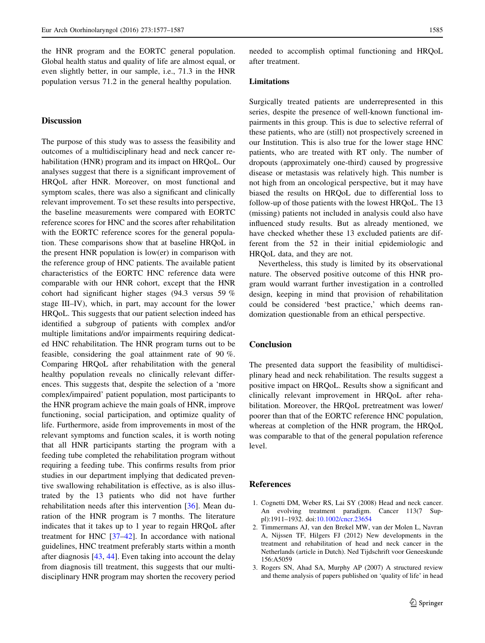<span id="page-9-0"></span>the HNR program and the EORTC general population. Global health status and quality of life are almost equal, or even slightly better, in our sample, i.e., 71.3 in the HNR population versus 71.2 in the general healthy population.

## Discussion

The purpose of this study was to assess the feasibility and outcomes of a multidisciplinary head and neck cancer rehabilitation (HNR) program and its impact on HRQoL. Our analyses suggest that there is a significant improvement of HRQoL after HNR. Moreover, on most functional and symptom scales, there was also a significant and clinically relevant improvement. To set these results into perspective, the baseline measurements were compared with EORTC reference scores for HNC and the scores after rehabilitation with the EORTC reference scores for the general population. These comparisons show that at baseline HRQoL in the present HNR population is low(er) in comparison with the reference group of HNC patients. The available patient characteristics of the EORTC HNC reference data were comparable with our HNR cohort, except that the HNR cohort had significant higher stages (94.3 versus 59 % stage III–IV), which, in part, may account for the lower HRQoL. This suggests that our patient selection indeed has identified a subgroup of patients with complex and/or multiple limitations and/or impairments requiring dedicated HNC rehabilitation. The HNR program turns out to be feasible, considering the goal attainment rate of 90 %. Comparing HRQoL after rehabilitation with the general healthy population reveals no clinically relevant differences. This suggests that, despite the selection of a 'more complex/impaired' patient population, most participants to the HNR program achieve the main goals of HNR, improve functioning, social participation, and optimize quality of life. Furthermore, aside from improvements in most of the relevant symptoms and function scales, it is worth noting that all HNR participants starting the program with a feeding tube completed the rehabilitation program without requiring a feeding tube. This confirms results from prior studies in our department implying that dedicated preventive swallowing rehabilitation is effective, as is also illustrated by the 13 patients who did not have further rehabilitation needs after this intervention [\[36](#page-10-0)]. Mean duration of the HNR program is 7 months. The literature indicates that it takes up to 1 year to regain HRQoL after treatment for HNC [[37–42\]](#page-11-0). In accordance with national guidelines, HNC treatment preferably starts within a month after diagnosis [[43,](#page-11-0) [44\]](#page-11-0). Even taking into account the delay from diagnosis till treatment, this suggests that our multidisciplinary HNR program may shorten the recovery period needed to accomplish optimal functioning and HRQoL after treatment.

#### Limitations

Surgically treated patients are underrepresented in this series, despite the presence of well-known functional impairments in this group. This is due to selective referral of these patients, who are (still) not prospectively screened in our Institution. This is also true for the lower stage HNC patients, who are treated with RT only. The number of dropouts (approximately one-third) caused by progressive disease or metastasis was relatively high. This number is not high from an oncological perspective, but it may have biased the results on HRQoL due to differential loss to follow-up of those patients with the lowest HRQoL. The 13 (missing) patients not included in analysis could also have influenced study results. But as already mentioned, we have checked whether these 13 excluded patients are different from the 52 in their initial epidemiologic and HRQoL data, and they are not.

Nevertheless, this study is limited by its observational nature. The observed positive outcome of this HNR program would warrant further investigation in a controlled design, keeping in mind that provision of rehabilitation could be considered 'best practice,' which deems randomization questionable from an ethical perspective.

#### **Conclusion**

The presented data support the feasibility of multidisciplinary head and neck rehabilitation. The results suggest a positive impact on HRQoL. Results show a significant and clinically relevant improvement in HRQoL after rehabilitation. Moreover, the HRQoL pretreatment was lower/ poorer than that of the EORTC reference HNC population, whereas at completion of the HNR program, the HRQoL was comparable to that of the general population reference level.

#### References

- 1. Cognetti DM, Weber RS, Lai SY (2008) Head and neck cancer. An evolving treatment paradigm. Cancer 113(7 Suppl):1911–1932. doi:[10.1002/cncr.23654](http://dx.doi.org/10.1002/cncr.23654)
- 2. Timmermans AJ, van den Brekel MW, van der Molen L, Navran A, Nijssen TF, Hilgers FJ (2012) New developments in the treatment and rehabilitation of head and neck cancer in the Netherlands (article in Dutch). Ned Tijdschrift voor Geneeskunde 156:A5059
- 3. Rogers SN, Ahad SA, Murphy AP (2007) A structured review and theme analysis of papers published on 'quality of life' in head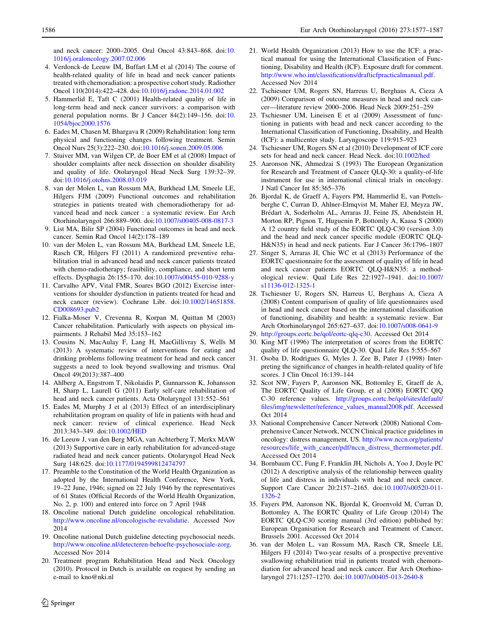<span id="page-10-0"></span>and neck cancer: 2000–2005. Oral Oncol 43:843–868. doi:[10.](http://dx.doi.org/10.1016/j.oraloncology.2007.02.006) [1016/j.oraloncology.2007.02.006](http://dx.doi.org/10.1016/j.oraloncology.2007.02.006)

- 4. Verdonck-de Leeuw IM, Buffart LM et al (2014) The course of health-related quality of life in head and neck cancer patients treated with chemoradiation: a prospective cohort study. Radiother Oncol 110(2014):422–428. doi[:10.1016/j.radonc.2014.01.002](http://dx.doi.org/10.1016/j.radonc.2014.01.002)
- 5. Hammerlid E, Taft C (2001) Health-related quality of life in long-term head and neck cancer survivors: a comparison with general population norms. Br J Cancer 84(2):149–156. doi:[10.](http://dx.doi.org/10.1054/bjoc2000.1576) [1054/bjoc2000.1576](http://dx.doi.org/10.1054/bjoc2000.1576)
- 6. Eades M, Chasen M, Bhargava R (2009) Rehabilitation: long term physical and functioning changes following treatment. Semin Oncol Nurs 25(3):222–230. doi:[10.1016/j.sonen.2009.05.006](http://dx.doi.org/10.1016/j.sonen.2009.05.006)
- 7. Stuiver MM, van Wilgen CP, de Boer EM et al (2008) Impact of shoulder complaints after neck dissection on shoulder disability and quality of life. Otolaryngol Head Neck Surg 139:32–39. doi:[10.1016/j.otohns.2008.03.019](http://dx.doi.org/10.1016/j.otohns.2008.03.019)
- 8. van der Molen L, van Rossum MA, Burkhead LM, Smeele LE, Hilgers FJM (2009) Functional outcomes and rehabilitation strategies in patients treated with chemoradiotherapy for advanced head and neck cancer : a systematic review. Eur Arch Otorhinolaryngol 266:889–900. doi[:10.1007/s00405-008-0817-3](http://dx.doi.org/10.1007/s00405-008-0817-3)
- 9. List MA, Bilir SP (2004) Functional outcomes in head and neck cancer. Semin Rad Oncol 14(2):178–189
- 10. van der Molen L, van Rossum MA, Burkhead LM, Smeele LE, Rasch CR, Hilgers FJ (2011) A randomized preventive rehabilitation trial in advanced head and neck cancer patients treated with chemo-radiotherapy; feasibility, compliance, and short term effects. Dysphagia 26:155–170. doi:[10.1007/s00455-010-9288-y](http://dx.doi.org/10.1007/s00455-010-9288-y)
- 11. Carvalho APV, Vital FMR, Soares BGO (2012) Exercise interventions for shoulder dysfunction in patients treated for head and neck cancer (review). Cochrane Libr. doi[:10.1002/14651858.](http://dx.doi.org/10.1002/14651858.CD008693.pub2) [CD008693.pub2](http://dx.doi.org/10.1002/14651858.CD008693.pub2)
- 12. Fialka-Moser V, Crevenna R, Korpan M, Quittan M (2003) Cancer rehabilitation. Particularly with aspects on physical impairments. J Rehabil Med 35:153–162
- 13. Cousins N, MacAulay F, Lang H, MacGillivray S, Wells M (2013) A systematic review of interventions for eating and drinking problems following treatment for head and neck cancer suggests a need to look beyond swallowing and trismus. Oral Oncol 49(2013):387–400
- 14. Ahlberg A, Engstrom T, Nikolaidis P, Gunnarsson K, Johansson H, Sharp L, Laurell G (2011) Early self-care rehabilitation of head and neck cancer patients. Acta Otolaryngol 131:552–561
- 15. Eades M, Murphy J et al (2013) Effect of an interdisciplinary rehabilitation program on quality of life in patients with head and neck cancer: review of clinical experience. Head Neck 2013:343–349. doi:[10.1002/HED](http://dx.doi.org/10.1002/HED)
- 16. de Leeuw J, van den Berg MGA, van Achterberg T, Merkx MAW (2013) Supportive care in early rehabilitation for advanced-stage radiated head and neck cancer patients. Otolaryngol Head Neck Surg 148:625. doi[:10.1177/0194599812474797](http://dx.doi.org/10.1177/0194599812474797)
- 17. Preamble to the Constitution of the World Health Organization as adopted by the International Health Conference, New York, 19–22 June, 1946; signed on 22 July 1946 by the representatives of 61 States (Official Records of the World Health Organization, No. 2, p. 100) and entered into force on 7 April 1948
- 18. Oncoline national Dutch guideline oncological rehabilitation. <http://www.oncoline.nl/oncologische-revalidatie>. Accessed Nov 2014
- 19. Oncoline national Dutch guideline detecting psychosocial needs. <http://www.oncoline.nl/detecteren-behoefte-psychosociale-zorg>. Accessed Nov 2014
- 20. Treatment program Rehabilitation Head and Neck Oncology (2010). Protocol in Dutch is available on request by sending an e-mail to kno@nki.nl
- 21. World Health Organization (2013) How to use the ICF: a practical manual for using the International Classification of Functioning, Disability and Health (ICF). Exposure draft for comment. <http://www.who.int/classifications/drafticfpracticalmanual.pdf>. Accessed Nov 2014
- 22. Tschiesner UM, Rogers SN, Harreus U, Berghaus A, Cieza A (2009) Comparison of outcome measures in head and neck cancer—literature review 2000–2006. Head Neck 2009:251–259
- 23. Tschiesner UM, Lineisen E et al (2009) Assessment of functioning in patients with head and neck cancer according to the International Classification of Functioning, Disability, and Health (ICF): a multicenter study. Laryngoscope 119:915–923
- 24. Tschiesner UM, Rogers SN et al (2010) Development of ICF core sets for head and neck cancer. Head Neck. doi:[10.1002/hed](http://dx.doi.org/10.1002/hed)
- 25. Aaronson NK, Ahmedzai S (1993) The European Organization for Research and Treatment of Cancer QLQ-30: a quality-of-life instrument for use in international clinical trials in oncology. J Natl Cancer Int 85:365–376
- 26. Bjordal K, de Graeff A, Fayers PM, Hammerlid E, van Pottelsberghe C, Curran D, Ahlner-Elmqvist M, Maher EJ, Meyza JW, Brédart A, Soderholm AL, Arraras JJ, Feine JS, Abendstein H, Morton RP, Pignon T, Huguenin P, Bottomly A, Kaasa S (2000) A 12 country field study of the EORTC QLQ-C30 (version 3.0) and the head and neck cancer specific module (EORTC QLQ-H&N35) in head and neck patients. Eur J Cancer 36:1796–1807
- 27. Singer S, Arraras JI, Chie WC et al (2013) Performance of the EORTC questionnaire for the assessment of quality of life in head and neck cancer patients EORTC QLQ-H&N35: a methodological review. Qual Life Res 22:1927–1941. doi[:10.1007/](http://dx.doi.org/10.1007/s11136-012-1325-1) [s11136-012-1325-1](http://dx.doi.org/10.1007/s11136-012-1325-1)
- 28. Tschiesner U, Rogers SN, Harreus U, Berghaus A, Cieza A (2008) Content comparison of quality of life questionnaires used in head and neck cancer based on the international classification of functioning, disability and health: a systematic review. Eur Arch Otorhinolaryngol 265:627–637. doi[:10.1007/s008-0641-9](http://dx.doi.org/10.1007/s008-0641-9)
- 29. [http://groups.eortc.be/qol/eortc-qlq-c30.](http://groups.eortc.be/qol/eortc-qlq-c30) Accessed Oct 2014
- 30. King MT (1996) The interpretation of scores from the EORTC quality of life questionnaire QLQ-30. Qual Life Res 5:555–567
- 31. Osoba D, Rodrigues G, Myles J, Zee B, Pater J (1998) Interpreting the significance of changes in health-related quality of life scores. J Clin Oncol 16:139–144
- 32. Scot NW, Fayers P, Aaronson NK, Bottomley E, Graeff de A, The EORTC Quality of Life Group, et al (2008) EORTC QlQ C-30 reference values. [http://groups.eortc.be/qol/sites/default/](http://groups.eortc.be/qol/sites/default/files/img/newsletter/reference_values_manual2008.pdf) [files/img/newsletter/reference\\_values\\_manual2008.pdf](http://groups.eortc.be/qol/sites/default/files/img/newsletter/reference_values_manual2008.pdf). Accessed Oct 2014
- 33. National Comprehensive Cancer Network (2008) National Comprehensive Cancer Network, NCCN Clinical practice guidelines in oncology: distress management, US. [http://www.nccn.org/patients/](http://www.nccn.org/patients/resources/life_with_cancer/pdf/nccn_distress_thermometer.pdf) [resources/life\\_with\\_cancer/pdf/nccn\\_distress\\_thermometer.pdf.](http://www.nccn.org/patients/resources/life_with_cancer/pdf/nccn_distress_thermometer.pdf) Accessed Oct 2014
- 34. Bornbaum CC, Fung F, Franklin JH, Nichols A, Yoo J, Doyle PC (2012) A descriptive analysis of the relationship between quality of life and distress in individuals with head and neck cancer. Support Care Cancer 20:2157–2165. doi:[10.1007/s00520-011-](http://dx.doi.org/10.1007/s00520-011-1326-2) [1326-2](http://dx.doi.org/10.1007/s00520-011-1326-2)
- 35. Fayers PM, Aaronson NK, Bjordal K, Groenvold M, Curran D, Bottomley A, The EORTC Quality of Life Group (2014) The EORTC QLQ-C30 scoring manual (3rd edition) published by: European Organisation for Research and Treatment of Cancer, Brussels 2001. Accessed Oct 2014
- 36. van der Molen L, van Rossum MA, Rasch CR, Smeele LE, Hilgers FJ (2014) Two-year results of a prospective preventive swallowing rehabilitation trial in patients treated with chemoradiation for advanced head and neck cancer. Eur Arch Otorhinolaryngol 271:1257–1270. doi[:10.1007/s00405-013-2640-8](http://dx.doi.org/10.1007/s00405-013-2640-8)